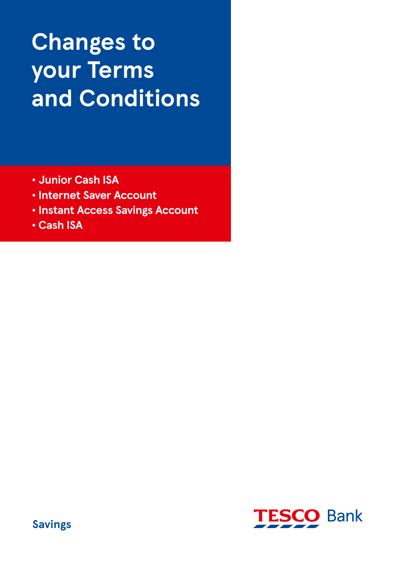# **Changes to your Terms and Conditions**

- **Junior Cash ISA**
- **Internet Saver Account**
- **Instant Access Savings Account**
- **Cash ISA**

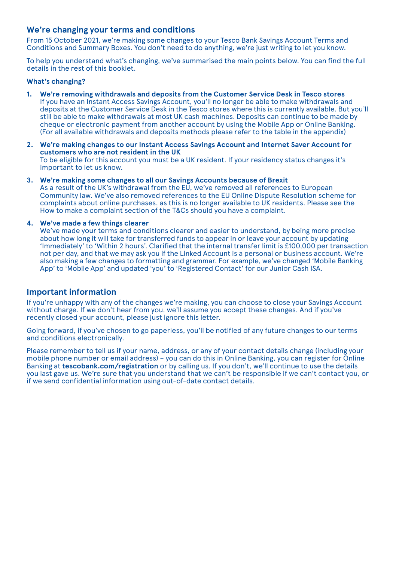## **We're changing your terms and conditions**

From 15 October 2021, we're making some changes to your Tesco Bank Savings Account Terms and Conditions and Summary Boxes. You don't need to do anything, we're just writing to let you know.

To help you understand what's changing, we've summarised the main points below. You can find the full details in the rest of this booklet.

#### **What's changing?**

- **1. We're removing withdrawals and deposits from the Customer Service Desk in Tesco stores** If you have an Instant Access Savings Account, you'll no longer be able to make withdrawals and deposits at the Customer Service Desk in the Tesco stores where this is currently available. But you'll still be able to make withdrawals at most UK cash machines. Deposits can continue to be made by cheque or electronic payment from another account by using the Mobile App or Online Banking. (For all available withdrawals and deposits methods please refer to the table in the appendix)
- **2. We're making changes to our Instant Access Savings Account and Internet Saver Account for customers who are not resident in the UK** To be eligible for this account you must be a UK resident. If your residency status changes it's important to let us know.
- **3. We're making some changes to all our Savings Accounts because of Brexit** As a result of the UK's withdrawal from the EU, we've removed all references to European Community law. We've also removed references to the EU Online Dispute Resolution scheme for complaints about online purchases, as this is no longer available to UK residents. Please see the How to make a complaint section of the T&Cs should you have a complaint.

#### **4. We've made a few things clearer**

 We've made your terms and conditions clearer and easier to understand, by being more precise about how long it will take for transferred funds to appear in or leave your account by updating 'Immediately' to 'Within 2 hours'. Clarified that the internal transfer limit is £100,000 per transaction not per day, and that we may ask you if the Linked Account is a personal or business account. We're also making a few changes to formatting and grammar. For example, we've changed 'Mobile Banking App' to 'Mobile App' and updated 'you' to 'Registered Contact' for our Junior Cash ISA.

## **Important information**

If you're unhappy with any of the changes we're making, you can choose to close your Savings Account without charge. If we don't hear from you, we'll assume you accept these changes. And if you've recently closed your account, please just ignore this letter.

Going forward, if you've chosen to go paperless, you'll be notified of any future changes to our terms and conditions electronically.

Please remember to tell us if your name, address, or any of your contact details change (including your mobile phone number or email address) – you can do this in Online Banking, you can register for Online Banking at **tescobank.com/registration** or by calling us. If you don't, we'll continue to use the details you last gave us. We're sure that you understand that we can't be responsible if we can't contact you, or if we send confidential information using out-of-date contact details.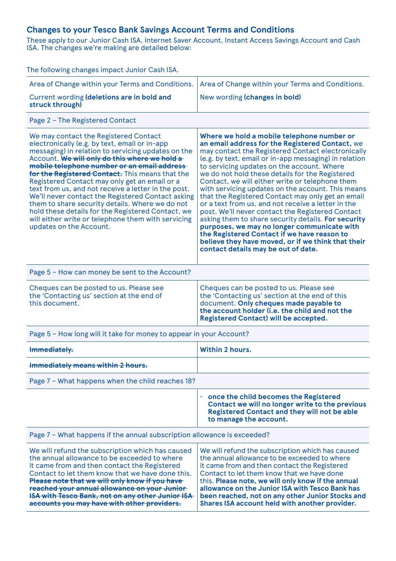## **Changes to your Tesco Bank Savings Account Terms and Conditions**

These apply to our Junior Cash ISA, Internet Saver Account, Instant Access Savings Account and Cash ISA. The changes we're making are detailed below:

| The following changes impact Junior Cash ISA.                                                                                                                                                                                                                                                                                                                                                                                                                                                                                                                                                                                                          |                                                                                                                                                                                                                                                                                                                                                                                                                                                                                                                                                                                                                                                                                                                                                                                                                                       |  |
|--------------------------------------------------------------------------------------------------------------------------------------------------------------------------------------------------------------------------------------------------------------------------------------------------------------------------------------------------------------------------------------------------------------------------------------------------------------------------------------------------------------------------------------------------------------------------------------------------------------------------------------------------------|---------------------------------------------------------------------------------------------------------------------------------------------------------------------------------------------------------------------------------------------------------------------------------------------------------------------------------------------------------------------------------------------------------------------------------------------------------------------------------------------------------------------------------------------------------------------------------------------------------------------------------------------------------------------------------------------------------------------------------------------------------------------------------------------------------------------------------------|--|
| Area of Change within your Terms and Conditions.                                                                                                                                                                                                                                                                                                                                                                                                                                                                                                                                                                                                       | Area of Change within your Terms and Conditions.                                                                                                                                                                                                                                                                                                                                                                                                                                                                                                                                                                                                                                                                                                                                                                                      |  |
| Current wording (deletions are in bold and<br>struck through)                                                                                                                                                                                                                                                                                                                                                                                                                                                                                                                                                                                          | New wording (changes in bold)                                                                                                                                                                                                                                                                                                                                                                                                                                                                                                                                                                                                                                                                                                                                                                                                         |  |
| Page 2 - The Registered Contact                                                                                                                                                                                                                                                                                                                                                                                                                                                                                                                                                                                                                        |                                                                                                                                                                                                                                                                                                                                                                                                                                                                                                                                                                                                                                                                                                                                                                                                                                       |  |
| We may contact the Registered Contact<br>electronically (e.g. by text, email or in-app<br>messaging) in relation to servicing updates on the<br>Account. We will only do this where we hold a<br>mobile telephone number or an email address-<br>for the Registered Contact. This means that the<br>Registered Contact may only get an email or a<br>text from us, and not receive a letter in the post.<br>We'll never contact the Registered Contact asking<br>them to share security details. Where we do not<br>hold these details for the Registered Contact, we<br>will either write or telephone them with servicing<br>updates on the Account. | Where we hold a mobile telephone number or<br>an email address for the Registered Contact, we<br>may contact the Registered Contact electronically<br>(e.g. by text, email or in-app messaging) in relation<br>to servicing updates on the account. Where<br>we do not hold these details for the Registered<br>Contact, we will either write or telephone them<br>with servicing updates on the account. This means<br>that the Registered Contact may only get an email<br>or a text from us, and not receive a letter in the<br>post. We'll never contact the Registered Contact<br>asking them to share security details. For security<br>purposes, we may no longer communicate with<br>the Registered Contact if we have reason to<br>believe they have moved, or if we think that their<br>contact details may be out of date. |  |
| Page 5 - How can money be sent to the Account?                                                                                                                                                                                                                                                                                                                                                                                                                                                                                                                                                                                                         |                                                                                                                                                                                                                                                                                                                                                                                                                                                                                                                                                                                                                                                                                                                                                                                                                                       |  |
| Cheques can be posted to us. Please see<br>the 'Contacting us' section at the end of<br>this document.                                                                                                                                                                                                                                                                                                                                                                                                                                                                                                                                                 | Cheques can be posted to us. Please see<br>the 'Contacting us' section at the end of this<br>document. Only cheques made payable to<br>the account holder (i.e. the child and not the<br><b>Registered Contact) will be accepted.</b>                                                                                                                                                                                                                                                                                                                                                                                                                                                                                                                                                                                                 |  |
| Page 5 - How long will it take for money to appear in your Account?                                                                                                                                                                                                                                                                                                                                                                                                                                                                                                                                                                                    |                                                                                                                                                                                                                                                                                                                                                                                                                                                                                                                                                                                                                                                                                                                                                                                                                                       |  |
| Immediately.                                                                                                                                                                                                                                                                                                                                                                                                                                                                                                                                                                                                                                           | <b>Within 2 hours.</b>                                                                                                                                                                                                                                                                                                                                                                                                                                                                                                                                                                                                                                                                                                                                                                                                                |  |
| Immediately means within 2 hours.                                                                                                                                                                                                                                                                                                                                                                                                                                                                                                                                                                                                                      |                                                                                                                                                                                                                                                                                                                                                                                                                                                                                                                                                                                                                                                                                                                                                                                                                                       |  |
| Page 7 - What happens when the child reaches 18?                                                                                                                                                                                                                                                                                                                                                                                                                                                                                                                                                                                                       |                                                                                                                                                                                                                                                                                                                                                                                                                                                                                                                                                                                                                                                                                                                                                                                                                                       |  |
|                                                                                                                                                                                                                                                                                                                                                                                                                                                                                                                                                                                                                                                        | $\cdot$ once the child becomes the Registered<br>Contact we will no longer write to the previous<br><b>Registered Contact and they will not be able</b><br>to manage the account.                                                                                                                                                                                                                                                                                                                                                                                                                                                                                                                                                                                                                                                     |  |
| Page 7 - What happens if the annual subscription allowance is exceeded?                                                                                                                                                                                                                                                                                                                                                                                                                                                                                                                                                                                |                                                                                                                                                                                                                                                                                                                                                                                                                                                                                                                                                                                                                                                                                                                                                                                                                                       |  |
| We will refund the subscription which has caused<br>the annual allowance to be exceeded to where<br>it came from and then contact the Registered<br>Contact to let them know that we have done this.<br>Please note that we will only know if you have<br>reached your annual allowance on your Junior<br><b>ISA with Tesco Bank, not on any other Junior ISA</b><br>accounts you may have with other providers.                                                                                                                                                                                                                                       | We will refund the subscription which has caused<br>the annual allowance to be exceeded to where<br>it came from and then contact the Registered<br>Contact to let them know that we have done<br>this. Please note, we will only know if the annual<br>allowance on the Junior ISA with Tesco Bank has<br>been reached, not on any other Junior Stocks and<br>Shares ISA account held with another provider.                                                                                                                                                                                                                                                                                                                                                                                                                         |  |
|                                                                                                                                                                                                                                                                                                                                                                                                                                                                                                                                                                                                                                                        |                                                                                                                                                                                                                                                                                                                                                                                                                                                                                                                                                                                                                                                                                                                                                                                                                                       |  |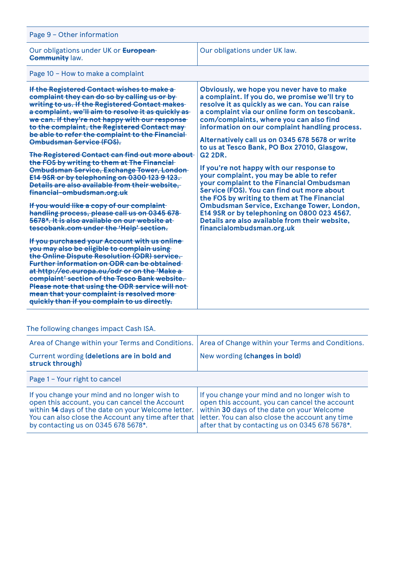| Page 9 - Other information                                                                                                                                                                                                                                                                                                                                                                                                                                                                                                                                                                                                                                                                                                                                                                                                                                                                                                                                                                                                                                                                                                                                                                                                                                                                                                            |                                                                                                                                                                                                                                                                                                                                                                                                                                                                                                                                                                                                                                                                                                                                                                                                                                |  |
|---------------------------------------------------------------------------------------------------------------------------------------------------------------------------------------------------------------------------------------------------------------------------------------------------------------------------------------------------------------------------------------------------------------------------------------------------------------------------------------------------------------------------------------------------------------------------------------------------------------------------------------------------------------------------------------------------------------------------------------------------------------------------------------------------------------------------------------------------------------------------------------------------------------------------------------------------------------------------------------------------------------------------------------------------------------------------------------------------------------------------------------------------------------------------------------------------------------------------------------------------------------------------------------------------------------------------------------|--------------------------------------------------------------------------------------------------------------------------------------------------------------------------------------------------------------------------------------------------------------------------------------------------------------------------------------------------------------------------------------------------------------------------------------------------------------------------------------------------------------------------------------------------------------------------------------------------------------------------------------------------------------------------------------------------------------------------------------------------------------------------------------------------------------------------------|--|
| Our obligations under UK or <b>European</b><br><b>Community law.</b>                                                                                                                                                                                                                                                                                                                                                                                                                                                                                                                                                                                                                                                                                                                                                                                                                                                                                                                                                                                                                                                                                                                                                                                                                                                                  | Our obligations under UK law.                                                                                                                                                                                                                                                                                                                                                                                                                                                                                                                                                                                                                                                                                                                                                                                                  |  |
| Page 10 - How to make a complaint                                                                                                                                                                                                                                                                                                                                                                                                                                                                                                                                                                                                                                                                                                                                                                                                                                                                                                                                                                                                                                                                                                                                                                                                                                                                                                     |                                                                                                                                                                                                                                                                                                                                                                                                                                                                                                                                                                                                                                                                                                                                                                                                                                |  |
| If the Registered Contact wishes to make a<br>complaint they can do so by calling us or by-<br>writing to us. If the Registered Contact makes-<br>a complaint, we'll aim to resolve it as quickly as<br>we can. If they're not happy with our response<br>to the complaint, the Registered Contact may-<br>be able to refer the complaint to the Financial-<br><b>Ombudsman Service (FOS).</b><br>The Registered Contact can find out more about<br>the FOS by writing to them at The Financial<br><b>Ombudsman Service, Exchange Tower, London-</b><br>E14 9SR or by telephoning on 0300 123 9 123.<br>Details are also available from their website.<br>financial-ombudsman.org.uk<br>If you would like a copy of our complaint<br>handling process, please call us on 0345 678<br>5678*. It is also available on our website at-<br>tescobank.com under the 'Help' section.<br>If you purchased your Account with us online<br>you may also be eligible to complain using-<br>the Online Dispute Resolution (ODR) service.<br><b>Further information on ODR can be obtained</b><br>at http://ec.europa.eu/odr or on the 'Make a-<br>complaint' section of the Tesco Bank website.<br>Please note that using the ODR service will not<br>mean that your complaint is resolved more-<br>quickly than if you complain to us directly. | Obviously, we hope you never have to make<br>a complaint. If you do, we promise we'll try to<br>resolve it as quickly as we can. You can raise<br>a complaint via our online form on tescobank.<br>com/complaints, where you can also find<br>information on our complaint handling process.<br>Alternatively call us on 0345 678 5678 or write<br>to us at Tesco Bank, PO Box 27010, Glasgow,<br><b>G2 2DR.</b><br>If you're not happy with our response to<br>your complaint, you may be able to refer<br>your complaint to the Financial Ombudsman<br>Service (FOS). You can find out more about<br>the FOS by writing to them at The Financial<br>Ombudsman Service, Exchange Tower, London,<br>E14 9SR or by telephoning on 0800 023 4567.<br>Details are also available from their website.<br>financialombudsman.org.uk |  |
|                                                                                                                                                                                                                                                                                                                                                                                                                                                                                                                                                                                                                                                                                                                                                                                                                                                                                                                                                                                                                                                                                                                                                                                                                                                                                                                                       |                                                                                                                                                                                                                                                                                                                                                                                                                                                                                                                                                                                                                                                                                                                                                                                                                                |  |

# The following changes impact Cash ISA.

| Area of Change within your Terms and Conditions.<br>Current wording (deletions are in bold and<br>struck through)                                                                                                                                 | Area of Change within your Terms and Conditions.<br>New wording (changes in bold)                                                                                                                                                                 |  |
|---------------------------------------------------------------------------------------------------------------------------------------------------------------------------------------------------------------------------------------------------|---------------------------------------------------------------------------------------------------------------------------------------------------------------------------------------------------------------------------------------------------|--|
| Page 1 - Your right to cancel                                                                                                                                                                                                                     |                                                                                                                                                                                                                                                   |  |
| If you change your mind and no longer wish to<br>open this account, you can cancel the Account<br>within 44 days of the date on your Welcome letter.<br>You can also close the Account any time after that<br>by contacting us on 0345 678 5678*. | If you change your mind and no longer wish to<br>open this account, you can cancel the account<br>within 30 days of the date on your Welcome<br>letter. You can also close the account any time<br>after that by contacting us on 0345 678 5678*. |  |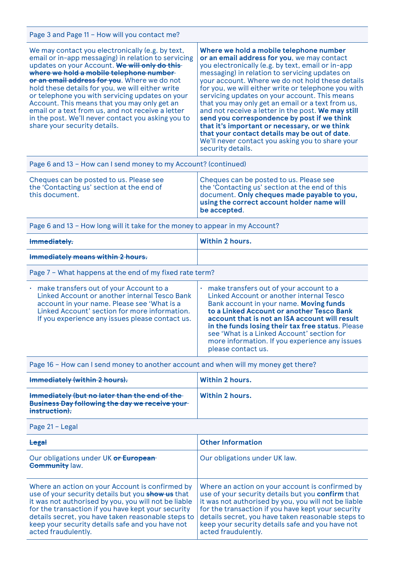Page 3 and Page 11 – How will you contact me?

| We may contact you electronically (e.g. by text,<br>email or in-app messaging) in relation to servicing<br>updates on your Account. We will only do this-<br>where we hold a mobile telephone number<br>or an email address for you. Where we do not<br>hold these details for you, we will either write<br>or telephone you with servicing updates on your<br>Account. This means that you may only get an<br>email or a text from us, and not receive a letter<br>in the post. We'll never contact you asking you to<br>share your security details. | Where we hold a mobile telephone number<br>or an email address for you, we may contact<br>you electronically (e.g. by text, email or in-app<br>messaging) in relation to servicing updates on<br>your account. Where we do not hold these details<br>for you, we will either write or telephone you with<br>servicing updates on your account. This means<br>that you may only get an email or a text from us,<br>and not receive a letter in the post. We may still<br>send you correspondence by post if we think<br>that it's important or necessary, or we think<br>that your contact details may be out of date.<br>We'll never contact you asking you to share your<br>security details. |  |
|--------------------------------------------------------------------------------------------------------------------------------------------------------------------------------------------------------------------------------------------------------------------------------------------------------------------------------------------------------------------------------------------------------------------------------------------------------------------------------------------------------------------------------------------------------|------------------------------------------------------------------------------------------------------------------------------------------------------------------------------------------------------------------------------------------------------------------------------------------------------------------------------------------------------------------------------------------------------------------------------------------------------------------------------------------------------------------------------------------------------------------------------------------------------------------------------------------------------------------------------------------------|--|
| Page 6 and 13 - How can I send money to my Account? (continued)                                                                                                                                                                                                                                                                                                                                                                                                                                                                                        |                                                                                                                                                                                                                                                                                                                                                                                                                                                                                                                                                                                                                                                                                                |  |
| Cheques can be posted to us. Please see<br>the 'Contacting us' section at the end of<br>this document.                                                                                                                                                                                                                                                                                                                                                                                                                                                 | Cheques can be posted to us. Please see<br>the 'Contacting us' section at the end of this<br>document. Only cheques made payable to you,<br>using the correct account holder name will<br>be accepted.                                                                                                                                                                                                                                                                                                                                                                                                                                                                                         |  |
| Page 6 and 13 - How long will it take for the money to appear in my Account?                                                                                                                                                                                                                                                                                                                                                                                                                                                                           |                                                                                                                                                                                                                                                                                                                                                                                                                                                                                                                                                                                                                                                                                                |  |
|                                                                                                                                                                                                                                                                                                                                                                                                                                                                                                                                                        |                                                                                                                                                                                                                                                                                                                                                                                                                                                                                                                                                                                                                                                                                                |  |

| Immediately.                      | Within 2 hours. |
|-----------------------------------|-----------------|
| Immediately means within 2 hours. |                 |

Page 7 – What happens at the end of my fixed rate term?

| . make transfers out of your Account to a<br>Linked Account or another internal Tesco Bank<br>account in your name. Please see 'What is a<br>Linked Account' section for more information.<br>If you experience any issues please contact us. | make transfers out of your account to a<br>Linked Account or another internal Tesco<br>Bank account in your name. Moving funds<br>to a Linked Account or another Tesco Bank<br>account that is not an ISA account will result<br>in the funds losing their tax free status. Please<br>see 'What is a Linked Account' section for<br>more information. If you experience any issues<br>please contact us. |
|-----------------------------------------------------------------------------------------------------------------------------------------------------------------------------------------------------------------------------------------------|----------------------------------------------------------------------------------------------------------------------------------------------------------------------------------------------------------------------------------------------------------------------------------------------------------------------------------------------------------------------------------------------------------|
|-----------------------------------------------------------------------------------------------------------------------------------------------------------------------------------------------------------------------------------------------|----------------------------------------------------------------------------------------------------------------------------------------------------------------------------------------------------------------------------------------------------------------------------------------------------------------------------------------------------------------------------------------------------------|

Page 16 – How can I send money to another account and when will my money get there?

| Immediately (within 2 hours).                                                                                    | Within 2 hours. |
|------------------------------------------------------------------------------------------------------------------|-----------------|
| Immediately (but no later than the end of the<br>Business Day following the day we receive your<br>instruction). | Within 2 hours. |

Page 21 – Legal

| Legal                                                                                                                                                                                                                                                                                                                                               | <b>Other Information</b>                                                                                                                                                                                                                                                                                                                            |
|-----------------------------------------------------------------------------------------------------------------------------------------------------------------------------------------------------------------------------------------------------------------------------------------------------------------------------------------------------|-----------------------------------------------------------------------------------------------------------------------------------------------------------------------------------------------------------------------------------------------------------------------------------------------------------------------------------------------------|
| Our obligations under UK or European-<br><b>Community law.</b>                                                                                                                                                                                                                                                                                      | Our obligations under UK law.                                                                                                                                                                                                                                                                                                                       |
| Where an action on your Account is confirmed by<br>use of your security details but you show us that<br>it was not authorised by you, you will not be liable<br>for the transaction if you have kept your security<br>details secret, you have taken reasonable steps to<br>keep your security details safe and you have not<br>acted fraudulently. | Where an action on your account is confirmed by<br>use of your security details but you confirm that<br>it was not authorised by you, you will not be liable<br>for the transaction if you have kept your security<br>details secret, you have taken reasonable steps to<br>keep your security details safe and you have not<br>acted fraudulently. |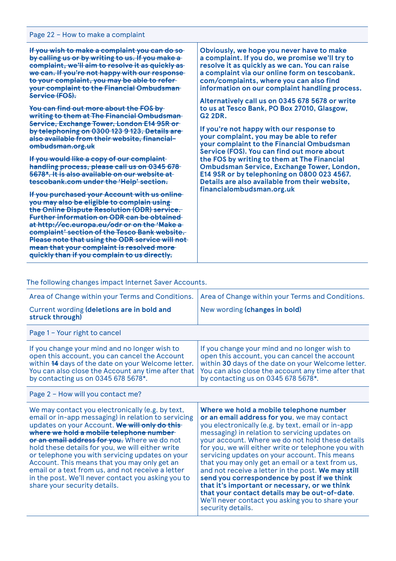| Page 22 - How to make a complaint                                                                                                                                                                                                                                                                                                                                                                   |                                                 |  |
|-----------------------------------------------------------------------------------------------------------------------------------------------------------------------------------------------------------------------------------------------------------------------------------------------------------------------------------------------------------------------------------------------------|-------------------------------------------------|--|
| If you wish to make a complaint you can do so                                                                                                                                                                                                                                                                                                                                                       | Obviously, we hope you never have to make       |  |
| by calling us or by writing to us. If you make a                                                                                                                                                                                                                                                                                                                                                    | a complaint. If you do, we promise we'll try to |  |
| complaint, we'll aim to resolve it as quickly as                                                                                                                                                                                                                                                                                                                                                    | resolve it as quickly as we can. You can raise  |  |
| we can. If you're not happy with our response-                                                                                                                                                                                                                                                                                                                                                      | a complaint via our online form on tescobank.   |  |
| to your complaint, you may be able to refer-                                                                                                                                                                                                                                                                                                                                                        | com/complaints, where you can also find         |  |
| your complaint to the Financial Ombudsman-                                                                                                                                                                                                                                                                                                                                                          | information on our complaint handling process.  |  |
| Service (FOS).                                                                                                                                                                                                                                                                                                                                                                                      | Alternatively call us on 0345 678 5678 or write |  |
| You can find out more about the FOS by                                                                                                                                                                                                                                                                                                                                                              | to us at Tesco Bank, PO Box 27010, Glasgow,     |  |
| writing to them at The Financial Ombudsman-                                                                                                                                                                                                                                                                                                                                                         | <b>G2 2DR.</b>                                  |  |
| Service, Exchange Tower, London E14 9SR or                                                                                                                                                                                                                                                                                                                                                          | If you're not happy with our response to        |  |
| by telephoning on 0300 123 9 123. Details are                                                                                                                                                                                                                                                                                                                                                       | your complaint, you may be able to refer        |  |
| also available from their website, financial-                                                                                                                                                                                                                                                                                                                                                       | your complaint to the Financial Ombudsman       |  |
| ombudsman.org.uk                                                                                                                                                                                                                                                                                                                                                                                    | Service (FOS). You can find out more about      |  |
| If you would like a copy of our complaint                                                                                                                                                                                                                                                                                                                                                           | the FOS by writing to them at The Financial     |  |
| handling process, please call us on 0345 678                                                                                                                                                                                                                                                                                                                                                        | Ombudsman Service, Exchange Tower, London,      |  |
| 5678*. It is also available on our website at                                                                                                                                                                                                                                                                                                                                                       | E14 9SR or by telephoning on 0800 023 4567.     |  |
| tescobank.com under the 'Help' section.                                                                                                                                                                                                                                                                                                                                                             | Details are also available from their website,  |  |
| If you purchased your Account with us online-                                                                                                                                                                                                                                                                                                                                                       | financialombudsman.org.uk                       |  |
| you may also be eligible to complain using-<br>the Online Dispute Resolution (ODR) service.<br><b>Further information on ODR can be obtained</b><br>at http://ec.europa.eu/odr or on the 'Make a<br>complaint' section of the Tesco Bank website.<br>Please note that using the ODR service will not-<br>mean that your complaint is resolved more-<br>quickly than if you complain to us directly. |                                                 |  |

## The following changes impact Internet Saver Accounts.

| Area of Change within your Terms and Conditions.                                                                                                                                                                                                                                                                                                                                                                                                                                                                                                        | Area of Change within your Terms and Conditions.                                                                                                                                                                                                                                                                                                                                                                                                                                                                                                                                                                                                                                               |  |
|---------------------------------------------------------------------------------------------------------------------------------------------------------------------------------------------------------------------------------------------------------------------------------------------------------------------------------------------------------------------------------------------------------------------------------------------------------------------------------------------------------------------------------------------------------|------------------------------------------------------------------------------------------------------------------------------------------------------------------------------------------------------------------------------------------------------------------------------------------------------------------------------------------------------------------------------------------------------------------------------------------------------------------------------------------------------------------------------------------------------------------------------------------------------------------------------------------------------------------------------------------------|--|
| Current wording (deletions are in bold and<br>struck through)                                                                                                                                                                                                                                                                                                                                                                                                                                                                                           | New wording (changes in bold)                                                                                                                                                                                                                                                                                                                                                                                                                                                                                                                                                                                                                                                                  |  |
| Page 1 - Your right to cancel                                                                                                                                                                                                                                                                                                                                                                                                                                                                                                                           |                                                                                                                                                                                                                                                                                                                                                                                                                                                                                                                                                                                                                                                                                                |  |
| If you change your mind and no longer wish to<br>open this account, you can cancel the Account<br>within 44 days of the date on your Welcome letter.<br>You can also close the Account any time after that<br>by contacting us on 0345 678 5678*.                                                                                                                                                                                                                                                                                                       | If you change your mind and no longer wish to<br>open this account, you can cancel the account<br>within 30 days of the date on your Welcome letter.<br>You can also close the account any time after that<br>by contacting us on 0345 678 5678*.                                                                                                                                                                                                                                                                                                                                                                                                                                              |  |
| Page 2 - How will you contact me?                                                                                                                                                                                                                                                                                                                                                                                                                                                                                                                       |                                                                                                                                                                                                                                                                                                                                                                                                                                                                                                                                                                                                                                                                                                |  |
| We may contact you electronically (e.g. by text,<br>email or in-app messaging) in relation to servicing<br>updates on your Account. We will only do this-<br>where we hold a mobile telephone number-<br>or an email address for you. Where we do not<br>hold these details for you, we will either write<br>or telephone you with servicing updates on your<br>Account. This means that you may only get an<br>email or a text from us, and not receive a letter<br>in the post. We'll never contact you asking you to<br>share your security details. | Where we hold a mobile telephone number<br>or an email address for you, we may contact<br>you electronically (e.g. by text, email or in-app<br>messaging) in relation to servicing updates on<br>your account. Where we do not hold these details<br>for you, we will either write or telephone you with<br>servicing updates on your account. This means<br>that you may only get an email or a text from us,<br>and not receive a letter in the post. We may still<br>send you correspondence by post if we think<br>that it's important or necessary, or we think<br>that your contact details may be out-of-date.<br>We'll never contact you asking you to share your<br>security details. |  |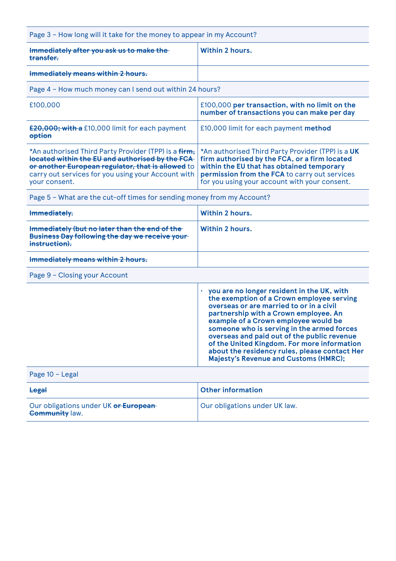| Page 3 - How long will it take for the money to appear in my Account?                                                                                                                                                               |                                                                                                                                                                                                                                                                                                                                                                                                                                                                   |
|-------------------------------------------------------------------------------------------------------------------------------------------------------------------------------------------------------------------------------------|-------------------------------------------------------------------------------------------------------------------------------------------------------------------------------------------------------------------------------------------------------------------------------------------------------------------------------------------------------------------------------------------------------------------------------------------------------------------|
| Immediately after you ask us to make the<br>transfer.                                                                                                                                                                               | <b>Within 2 hours.</b>                                                                                                                                                                                                                                                                                                                                                                                                                                            |
| Immediately means within 2 hours.                                                                                                                                                                                                   |                                                                                                                                                                                                                                                                                                                                                                                                                                                                   |
| Page 4 - How much money can I send out within 24 hours?                                                                                                                                                                             |                                                                                                                                                                                                                                                                                                                                                                                                                                                                   |
| £100,000                                                                                                                                                                                                                            | £100,000 per transaction, with no limit on the<br>number of transactions you can make per day                                                                                                                                                                                                                                                                                                                                                                     |
| £20,000; with a £10,000 limit for each payment<br>option                                                                                                                                                                            | £10,000 limit for each payment method                                                                                                                                                                                                                                                                                                                                                                                                                             |
| *An authorised Third Party Provider (TPP) is a firm,<br>located within the EU and authorised by the FCA<br>or another European regulator, that is allowed to<br>carry out services for you using your Account with<br>your consent. | *An authorised Third Party Provider (TPP) is a UK<br>firm authorised by the FCA, or a firm located<br>within the EU that has obtained temporary<br>permission from the FCA to carry out services<br>for you using your account with your consent.                                                                                                                                                                                                                 |
| Page 5 - What are the cut-off times for sending money from my Account?                                                                                                                                                              |                                                                                                                                                                                                                                                                                                                                                                                                                                                                   |
| Immediately.                                                                                                                                                                                                                        | <b>Within 2 hours.</b>                                                                                                                                                                                                                                                                                                                                                                                                                                            |
| Immediately (but no later than the end of the<br>Business Day following the day we receive your-<br>instruction).                                                                                                                   | <b>Within 2 hours.</b>                                                                                                                                                                                                                                                                                                                                                                                                                                            |
| Immediately means within 2 hours.                                                                                                                                                                                                   |                                                                                                                                                                                                                                                                                                                                                                                                                                                                   |
| Page 9 - Closing your Account                                                                                                                                                                                                       |                                                                                                                                                                                                                                                                                                                                                                                                                                                                   |
|                                                                                                                                                                                                                                     | you are no longer resident in the UK, with<br>the exemption of a Crown employee serving<br>overseas or are married to or in a civil<br>partnership with a Crown employee. An<br>example of a Crown employee would be<br>someone who is serving in the armed forces<br>overseas and paid out of the public revenue<br>of the United Kingdom. For more information<br>about the residency rules, please contact Her<br><b>Majesty's Revenue and Customs (HMRC);</b> |
| Page 10 - Legal                                                                                                                                                                                                                     |                                                                                                                                                                                                                                                                                                                                                                                                                                                                   |
| Legal                                                                                                                                                                                                                               | <b>Other information</b>                                                                                                                                                                                                                                                                                                                                                                                                                                          |
| Our obligations under UK or European-<br><b>Community law.</b>                                                                                                                                                                      | Our obligations under UK law.                                                                                                                                                                                                                                                                                                                                                                                                                                     |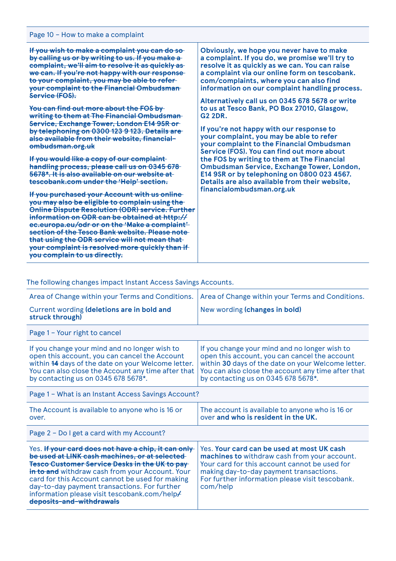| Page 10 - How to make a complaint                                                                                                                                                                                                                                                                                                                                                                                                                                                                                                                                                                                                                                                                                                                                                                                                                                                                                                                                                                                                                                                                                                                                                                                          |                                                                                                                                                                                                                                                                                                                                                                                                                                                                                                                                                                                                                                                                                                                                                                                                                                |  |
|----------------------------------------------------------------------------------------------------------------------------------------------------------------------------------------------------------------------------------------------------------------------------------------------------------------------------------------------------------------------------------------------------------------------------------------------------------------------------------------------------------------------------------------------------------------------------------------------------------------------------------------------------------------------------------------------------------------------------------------------------------------------------------------------------------------------------------------------------------------------------------------------------------------------------------------------------------------------------------------------------------------------------------------------------------------------------------------------------------------------------------------------------------------------------------------------------------------------------|--------------------------------------------------------------------------------------------------------------------------------------------------------------------------------------------------------------------------------------------------------------------------------------------------------------------------------------------------------------------------------------------------------------------------------------------------------------------------------------------------------------------------------------------------------------------------------------------------------------------------------------------------------------------------------------------------------------------------------------------------------------------------------------------------------------------------------|--|
| If you wish to make a complaint you can do so<br>by calling us or by writing to us. If you make a<br>complaint, we'll aim to resolve it as quickly as<br>we can. If you're not happy with our response<br>to your complaint, you may be able to refer-<br>your complaint to the Financial Ombudsman-<br>Service (FOS).<br>You can find out more about the FOS by<br>writing to them at The Financial Ombudsman-<br>Service, Exchange Tower, London E14 9SR or<br>by telephoning on 0300 123 9 123. Details are<br>also available from their website, financial-<br>ombudsman.org.uk<br>If you would like a copy of our complaint<br>handling process, please call us on 0345 678<br>5678*. It is also available on our website at<br>tescobank.com under the 'Help' section.<br>If you purchased your Account with us online<br>you may also be eligible to complain using the<br>Online Dispute Resolution (ODR) service. Further<br>information on ODR can be obtained at http://<br>ec.europa.eu/odr or on the 'Make a complaint'<br>section of the Tesco Bank website. Please note<br>that using the ODR service will not mean that<br>your complaint is resolved more quickly than if<br>you complain to us directly. | Obviously, we hope you never have to make<br>a complaint. If you do, we promise we'll try to<br>resolve it as quickly as we can. You can raise<br>a complaint via our online form on tescobank.<br>com/complaints, where you can also find<br>information on our complaint handling process.<br>Alternatively call us on 0345 678 5678 or write<br>to us at Tesco Bank, PO Box 27010, Glasgow,<br><b>G2 2DR.</b><br>If you're not happy with our response to<br>your complaint, you may be able to refer<br>your complaint to the Financial Ombudsman<br>Service (FOS). You can find out more about<br>the FOS by writing to them at The Financial<br>Ombudsman Service, Exchange Tower, London,<br>E14 9SR or by telephoning on 0800 023 4567.<br>Details are also available from their website,<br>financialombudsman.org.uk |  |

# The following changes impact Instant Access Savings Accounts.

| Area of Change within your Terms and Conditions.                                                                                                                                                                                                                                                                                                                                                             | Area of Change within your Terms and Conditions.                                                                                                                                                                                                      |  |  |
|--------------------------------------------------------------------------------------------------------------------------------------------------------------------------------------------------------------------------------------------------------------------------------------------------------------------------------------------------------------------------------------------------------------|-------------------------------------------------------------------------------------------------------------------------------------------------------------------------------------------------------------------------------------------------------|--|--|
| Current wording (deletions are in bold and<br>struck through)                                                                                                                                                                                                                                                                                                                                                | New wording (changes in bold)                                                                                                                                                                                                                         |  |  |
| Page 1 - Your right to cancel                                                                                                                                                                                                                                                                                                                                                                                |                                                                                                                                                                                                                                                       |  |  |
| If you change your mind and no longer wish to<br>open this account, you can cancel the Account<br>within 44 days of the date on your Welcome letter.<br>You can also close the Account any time after that<br>by contacting us on 0345 678 5678*.                                                                                                                                                            | If you change your mind and no longer wish to<br>open this account, you can cancel the account<br>within 30 days of the date on your Welcome letter.<br>You can also close the account any time after that<br>by contacting us on 0345 678 5678*.     |  |  |
| Page 1 – What is an Instant Access Savings Account?                                                                                                                                                                                                                                                                                                                                                          |                                                                                                                                                                                                                                                       |  |  |
| The Account is available to anyone who is 16 or<br>over.                                                                                                                                                                                                                                                                                                                                                     | The account is available to anyone who is 16 or<br>over and who is resident in the UK.                                                                                                                                                                |  |  |
| Page $2$ – Do I get a card with my Account?                                                                                                                                                                                                                                                                                                                                                                  |                                                                                                                                                                                                                                                       |  |  |
| Yes. If your card does not have a chip, it can only<br>be used at LINK cash machines, or at selected-<br><b>Tesco Customer Service Desks in the UK to pay-</b><br>in to and withdraw cash from your Account. Your<br>card for this Account cannot be used for making<br>day-to-day payment transactions. For further<br>information please visit tescobank.com/help <del>/</del><br>deposits-and-withdrawals | Yes. Your card can be used at most UK cash<br>machines to withdraw cash from your account.<br>Your card for this account cannot be used for<br>making day-to-day payment transactions.<br>For further information please visit tescobank.<br>com/help |  |  |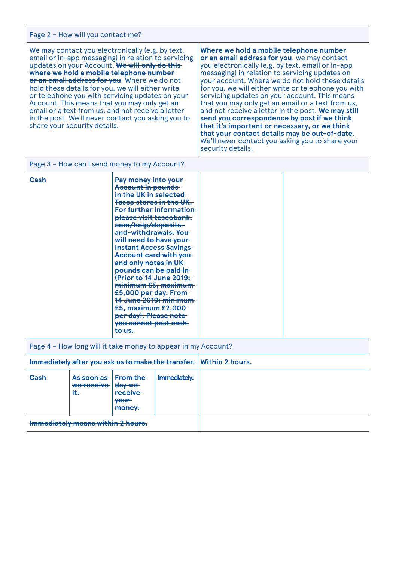### Page 2 – How will you contact me?

We may contact you electronically (e.g. by text, email or in-app messaging) in relation to servicing updates on your Account. **We will only do this where we hold a mobile telephone number or an email address for you**. Where we do not hold these details for you, we will either write or telephone you with servicing updates on your Account. This means that you may only get an email or a text from us, and not receive a letter in the post. We'll never contact you asking you to share your security details.

**Where we hold a mobile telephone number or an email address for you**, we may contact you electronically (e.g. by text, email or in-app messaging) in relation to servicing updates on your account. Where we do not hold these details for you, we will either write or telephone you with servicing updates on your account. This means that you may only get an email or a text from us, and not receive a letter in the post. **We may still send you correspondence by post if we think that it's important or necessary, or we think that your contact details may be out-of-date**. We'll never contact you asking you to share your security details.

Page 3 – How can I send money to my Account?

| Cash | Pay money into your            |  |
|------|--------------------------------|--|
|      | Account in pounds              |  |
|      | in the UK in selected          |  |
|      | <b>Tesco stores in the UK.</b> |  |
|      | For further information        |  |
|      | please visit tescobank.        |  |
|      | com/help/deposits-             |  |
|      | and-withdrawals. You           |  |
|      | will need to have your         |  |
|      | <b>Instant Access Savings</b>  |  |
|      | Account card with you          |  |
|      | and only notes in UK           |  |
|      | pounds can be paid in          |  |
|      | (Prior to 14 June 2019;        |  |
|      | minimumE5, maximum             |  |
|      | £5,000 per day. From           |  |
|      | 14 June 2019; minimum          |  |
|      | £5, maximum £2,000             |  |
|      | per day). Please note          |  |
|      | you cannot post cash           |  |
|      | to us.                         |  |
|      |                                |  |

Page 4 – How long will it take money to appear in my Account?

| Immediately after you ask us to make the transfer. Within 2 hours. |                                              |                                                                   |              |  |
|--------------------------------------------------------------------|----------------------------------------------|-------------------------------------------------------------------|--------------|--|
| Cash                                                               | <del>As soon as a</del><br>we receive<br>it. | From the<br><del>day we</del><br><b>receive</b><br>vour<br>money. | Immediately. |  |
|                                                                    | Immediately means within 2 hours.            |                                                                   |              |  |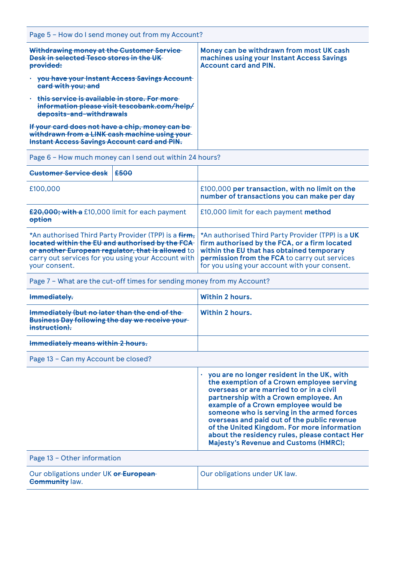| Page 5 - How do I send money out from my Account?                                                                                                        |                                                                                                                        |  |
|----------------------------------------------------------------------------------------------------------------------------------------------------------|------------------------------------------------------------------------------------------------------------------------|--|
| Withdrawing money at the Customer Service-<br>Desk in selected Tesco stores in the UK-<br>provided:                                                      | Money can be withdrawn from most UK cash<br>machines using your Instant Access Savings<br><b>Account card and PIN.</b> |  |
| you have your Instant Access Savings Account<br>card with you; and                                                                                       |                                                                                                                        |  |
| this service is available in store. For more<br>information please visit tescobank.com/help/<br>deposits-and-withdrawals                                 |                                                                                                                        |  |
| If your card does not have a chip, money can be<br>withdrawn from a LINK cash machine using your-<br><b>Instant Access Savings Account card and PIN.</b> |                                                                                                                        |  |

Page 6 – How much money can I send out within 24 hours?

| Customer Service desk                                                                                                                                                                                                               | £500 |                                                                                                                                                                                                                                                   |
|-------------------------------------------------------------------------------------------------------------------------------------------------------------------------------------------------------------------------------------|------|---------------------------------------------------------------------------------------------------------------------------------------------------------------------------------------------------------------------------------------------------|
| £100,000                                                                                                                                                                                                                            |      | £100,000 per transaction, with no limit on the<br>number of transactions you can make per day                                                                                                                                                     |
| £20,000; with a £10,000 limit for each payment<br>option                                                                                                                                                                            |      | £10,000 limit for each payment method                                                                                                                                                                                                             |
| *An authorised Third Party Provider (TPP) is a firm,<br>located within the EU and authorised by the FCA<br>or another European regulator, that is allowed to<br>carry out services for you using your Account with<br>your consent. |      | *An authorised Third Party Provider (TPP) is a UK<br>firm authorised by the FCA, or a firm located<br>within the EU that has obtained temporary<br>permission from the FCA to carry out services<br>for you using your account with your consent. |

Page 7 – What are the cut-off times for sending money from my Account?

| Immediately.                                                                                                             | Within 2 hours. |
|--------------------------------------------------------------------------------------------------------------------------|-----------------|
| Immediately (but no later than the end of the<br><b>Business Day following the day we receive your-</b><br>instruction). | Within 2 hours. |
| Immediately means within 2 hours.                                                                                        |                 |

Page 13 – Can my Account be closed?

|                                                                | you are no longer resident in the UK, with<br>the exemption of a Crown employee serving<br>overseas or are married to or in a civil<br>partnership with a Crown employee. An<br>example of a Crown employee would be<br>someone who is serving in the armed forces<br>overseas and paid out of the public revenue<br>of the United Kingdom. For more information<br>about the residency rules, please contact Her<br><b>Majesty's Revenue and Customs (HMRC);</b> |
|----------------------------------------------------------------|-------------------------------------------------------------------------------------------------------------------------------------------------------------------------------------------------------------------------------------------------------------------------------------------------------------------------------------------------------------------------------------------------------------------------------------------------------------------|
| Page 13 - Other information                                    |                                                                                                                                                                                                                                                                                                                                                                                                                                                                   |
| Our obligations under UK or European-<br><b>Community law.</b> | Our obligations under UK law.                                                                                                                                                                                                                                                                                                                                                                                                                                     |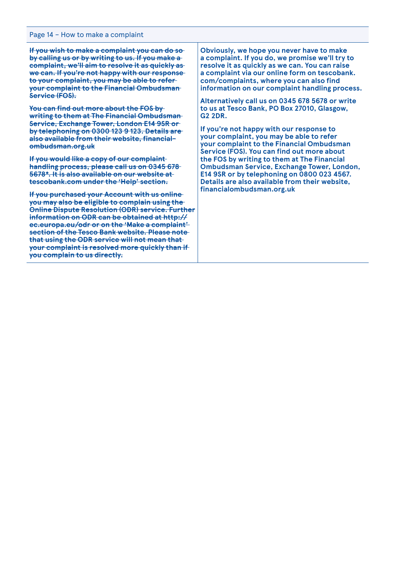#### Page 14 – How to make a complaint

**If you wish to make a complaint you can do so by calling us or by writing to us. If you make a complaint, we'll aim to resolve it as quickly as we can. If you're not happy with our response to your complaint, you may be able to refer your complaint to the Financial Ombudsman Service (FOS).**

**You can find out more about the FOS by writing to them at The Financial Ombudsman Service, Exchange Tower, London E14 9SR or by telephoning on 0300 123 9 123. Details are also available from their website, financialombudsman.org.uk**

**If you would like a copy of our complaint handling process, please call us on 0345 678 5678\*. It is also available on our website at tescobank.com under the 'Help' section.**

**If you purchased your Account with us online you may also be eligible to complain using the Online Dispute Resolution (ODR) service. Further information on ODR can be obtained at http:// ec.europa.eu/odr or on the 'Make a complaint' section of the Tesco Bank website. Please note that using the ODR service will not mean that your complaint is resolved more quickly than if you complain to us directly.**

**Obviously, we hope you never have to make a complaint. If you do, we promise we'll try to resolve it as quickly as we can. You can raise a complaint via our online form on tescobank. com/complaints, where you can also find information on our complaint handling process.**

**Alternatively call us on 0345 678 5678 or write to us at Tesco Bank, PO Box 27010, Glasgow, G2 2DR.**

**If you're not happy with our response to your complaint, you may be able to refer your complaint to the Financial Ombudsman Service (FOS). You can find out more about the FOS by writing to them at The Financial Ombudsman Service, Exchange Tower, London, E14 9SR or by telephoning on 0800 023 4567. Details are also available from their website, financialombudsman.org.uk**